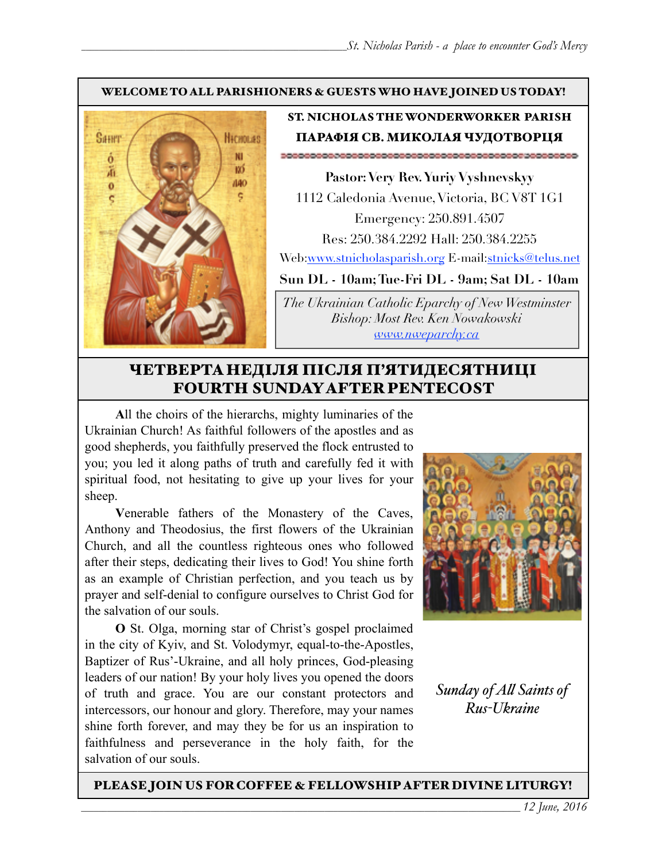## WELCOME TO ALL PARISHIONERS & GUESTS WHO HAVE JOINED US TODAY!



# ST. NICHOLAS THE WONDERWORKER PARISH ПАРАФІЯ СВ. МИКОЛАЯ ЧУДОТВОРЦЯ

**Pastor: Very Rev. Yuriy Vyshnevskyy** 1112 Caledonia Avenue, Victoria, BC V8T 1G1 Emergency: 250.891.4507 Res: 250.384.2292 Hall: 250.384.2255 Web:[www.stnicholasparish.org](http://www.stnicholasparish.org) E-mail[:stnicks@telus.net](mailto:stnicks@telus.net)

**Sun DL - 10am; Tue-Fri DL - 9am; Sat DL - 10am** 

*The Ukrainian Catholic Eparchy of New Westminster Bishop: Most Rev. Ken Nowakowski [www.nweparchy.ca](http://www.nweparchy.ca)*

# ЧЕТВЕРТАНЕДІЛЯ ПІСЛЯ П'ЯТИДЕСЯТНИЦІ FOURTH SUNDAY AFTER PENTECOST

**A**ll the choirs of the hierarchs, mighty luminaries of the Ukrainian Church! As faithful followers of the apostles and as good shepherds, you faithfully preserved the flock entrusted to you; you led it along paths of truth and carefully fed it with spiritual food, not hesitating to give up your lives for your sheep.

**V**enerable fathers of the Monastery of the Caves, Anthony and Theodosius, the first flowers of the Ukrainian Church, and all the countless righteous ones who followed after their steps, dedicating their lives to God! You shine forth as an example of Christian perfection, and you teach us by prayer and self-denial to configure ourselves to Christ God for the salvation of our souls.

**O** St. Olga, morning star of Christ's gospel proclaimed in the city of Kyiv, and St. Volodymyr, equal-to-the-Apostles, Baptizer of Rus'-Ukraine, and all holy princes, God-pleasing leaders of our nation! By your holy lives you opened the doors of truth and grace. You are our constant protectors and intercessors, our honour and glory. Therefore, may your names shine forth forever, and may they be for us an inspiration to faithfulness and perseverance in the holy faith, for the salvation of our souls.



*Sunday of A! Saints of Rus-Ukraine*

### PLEASE JOIN US FOR COFFEE & FELLOWSHIP AFTER DIVINE LITURGY!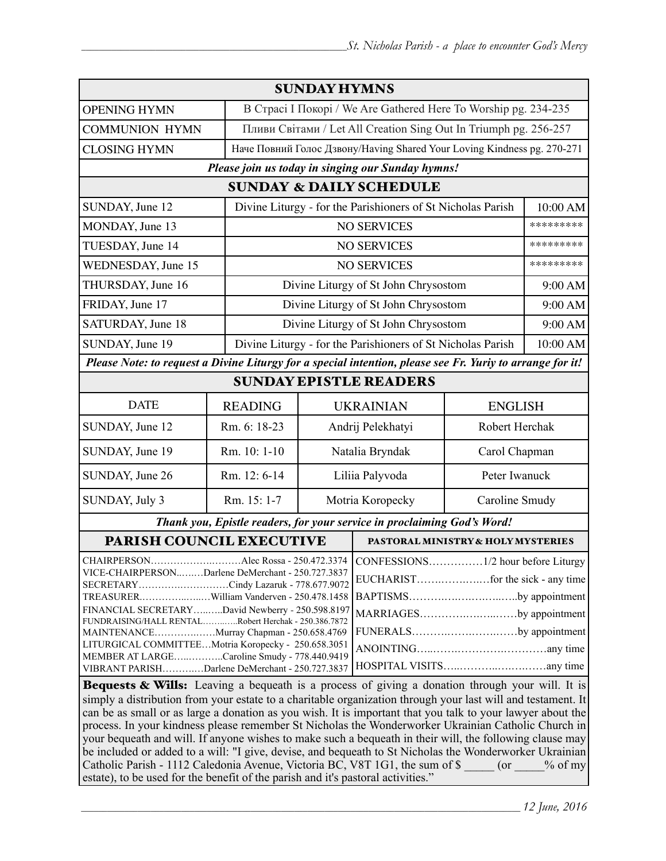| <b>SUNDAY HYMNS</b>                                                                                                                                                                                                                                                                                                                                                                                                                                                                                                                                                                                                                                                                                                                 |                |                                                                         |                                                             |                |           |
|-------------------------------------------------------------------------------------------------------------------------------------------------------------------------------------------------------------------------------------------------------------------------------------------------------------------------------------------------------------------------------------------------------------------------------------------------------------------------------------------------------------------------------------------------------------------------------------------------------------------------------------------------------------------------------------------------------------------------------------|----------------|-------------------------------------------------------------------------|-------------------------------------------------------------|----------------|-----------|
| <b>OPENING HYMN</b>                                                                                                                                                                                                                                                                                                                                                                                                                                                                                                                                                                                                                                                                                                                 |                | В Страсі I Покорі / We Are Gathered Here To Worship pg. 234-235         |                                                             |                |           |
| <b>COMMUNION HYMN</b>                                                                                                                                                                                                                                                                                                                                                                                                                                                                                                                                                                                                                                                                                                               |                | Пливи Світами / Let All Creation Sing Out In Triumph pg. 256-257        |                                                             |                |           |
| <b>CLOSING HYMN</b>                                                                                                                                                                                                                                                                                                                                                                                                                                                                                                                                                                                                                                                                                                                 |                | Наче Повний Голос Дзвону/Having Shared Your Loving Kindness pg. 270-271 |                                                             |                |           |
| Please join us today in singing our Sunday hymns!                                                                                                                                                                                                                                                                                                                                                                                                                                                                                                                                                                                                                                                                                   |                |                                                                         |                                                             |                |           |
| <b>SUNDAY &amp; DAILY SCHEDULE</b>                                                                                                                                                                                                                                                                                                                                                                                                                                                                                                                                                                                                                                                                                                  |                |                                                                         |                                                             |                |           |
| SUNDAY, June 12                                                                                                                                                                                                                                                                                                                                                                                                                                                                                                                                                                                                                                                                                                                     |                |                                                                         | Divine Liturgy - for the Parishioners of St Nicholas Parish |                | 10:00 AM  |
| MONDAY, June 13                                                                                                                                                                                                                                                                                                                                                                                                                                                                                                                                                                                                                                                                                                                     |                | <b>NO SERVICES</b>                                                      |                                                             |                | ********* |
| TUESDAY, June 14                                                                                                                                                                                                                                                                                                                                                                                                                                                                                                                                                                                                                                                                                                                    |                | <b>NO SERVICES</b>                                                      |                                                             |                | ********* |
| WEDNESDAY, June 15                                                                                                                                                                                                                                                                                                                                                                                                                                                                                                                                                                                                                                                                                                                  |                | <b>NO SERVICES</b>                                                      |                                                             |                | ********* |
| THURSDAY, June 16                                                                                                                                                                                                                                                                                                                                                                                                                                                                                                                                                                                                                                                                                                                   |                | Divine Liturgy of St John Chrysostom                                    |                                                             |                | 9:00 AM   |
| FRIDAY, June 17                                                                                                                                                                                                                                                                                                                                                                                                                                                                                                                                                                                                                                                                                                                     |                | Divine Liturgy of St John Chrysostom                                    |                                                             |                | 9:00 AM   |
| SATURDAY, June 18                                                                                                                                                                                                                                                                                                                                                                                                                                                                                                                                                                                                                                                                                                                   |                | Divine Liturgy of St John Chrysostom                                    |                                                             |                | 9:00 AM   |
| SUNDAY, June 19                                                                                                                                                                                                                                                                                                                                                                                                                                                                                                                                                                                                                                                                                                                     |                | Divine Liturgy - for the Parishioners of St Nicholas Parish             |                                                             |                |           |
| Please Note: to request a Divine Liturgy for a special intention, please see Fr. Yuriy to arrange for it!                                                                                                                                                                                                                                                                                                                                                                                                                                                                                                                                                                                                                           |                |                                                                         |                                                             |                |           |
| <b>SUNDAY EPISTLE READERS</b>                                                                                                                                                                                                                                                                                                                                                                                                                                                                                                                                                                                                                                                                                                       |                |                                                                         |                                                             |                |           |
| <b>DATE</b>                                                                                                                                                                                                                                                                                                                                                                                                                                                                                                                                                                                                                                                                                                                         | <b>READING</b> | <b>UKRAINIAN</b>                                                        |                                                             | <b>ENGLISH</b> |           |
| SUNDAY, June 12                                                                                                                                                                                                                                                                                                                                                                                                                                                                                                                                                                                                                                                                                                                     | Rm. 6: 18-23   | Andrij Pelekhatyi                                                       |                                                             | Robert Herchak |           |
| SUNDAY, June 19                                                                                                                                                                                                                                                                                                                                                                                                                                                                                                                                                                                                                                                                                                                     | Rm. 10: 1-10   | Natalia Bryndak                                                         |                                                             | Carol Chapman  |           |
| SUNDAY, June 26                                                                                                                                                                                                                                                                                                                                                                                                                                                                                                                                                                                                                                                                                                                     | Rm. 12: 6-14   | Liliia Palyvoda                                                         |                                                             | Peter Iwanuck  |           |
| SUNDAY, July 3                                                                                                                                                                                                                                                                                                                                                                                                                                                                                                                                                                                                                                                                                                                      | Rm. 15: 1-7    | Motria Koropecky                                                        |                                                             | Caroline Smudy |           |
| Thank you, Epistle readers, for your service in proclaiming God's Word!                                                                                                                                                                                                                                                                                                                                                                                                                                                                                                                                                                                                                                                             |                |                                                                         |                                                             |                |           |
| PARISH COUNCIL EXECUTIVE                                                                                                                                                                                                                                                                                                                                                                                                                                                                                                                                                                                                                                                                                                            |                |                                                                         | PASTORAL MINISTRY & HOLY MYSTERIES                          |                |           |
| CHAIRPERSONAlec Rossa - 250.472.3374   CONFESSIONS1/2 hour before Liturgy<br>VICE-CHAIRPERSONDarlene DeMerchant - 250.727.3837<br>SECRETARYCindy Lazaruk - 778.677.9072<br>BAPTISMSby appointment<br>TREASURERWilliam Vanderven - 250.478.1458<br>FINANCIAL SECRETARYDavid Newberry - 250.598.8197<br>MARRIAGESby appointment<br>FUNDRAISING/HALL RENTALRobert Herchak - 250.386.7872<br>FUNERALSby appointment<br>MAINTENANCEMurray Chapman - 250.658.4769<br>LITURGICAL COMMITTEEMotria Koropecky - 250.658.3051<br>MEMBER AT LARGECaroline Smudy - 778.440.9419<br>VIBRANT PARISHDarlene DeMerchant - 250.727.3837<br><b>Bequests &amp; Wills:</b> Leaving a bequeath is a process of giving a donation through your will. It is |                |                                                                         |                                                             |                |           |
| simply a distribution from your estate to a charitable organization through your last will and testament. It<br>can be as small or as large a donation as you wish. It is important that you talk to your lawyer about the                                                                                                                                                                                                                                                                                                                                                                                                                                                                                                          |                |                                                                         |                                                             |                |           |

can be as small or as large a donation as you wish. It is important that you talk to your lawyer about the process. In your kindness please remember St Nicholas the Wonderworker Ukrainian Catholic Church in your bequeath and will. If anyone wishes to make such a bequeath in their will, the following clause may be included or added to a will: "I give, devise, and bequeath to St Nicholas the Wonderworker Ukrainian Catholic Parish - 1112 Caledonia Avenue, Victoria BC, V8T 1G1, the sum of \$ \_\_\_\_\_ (or \_\_\_\_% of my estate), to be used for the benefit of the parish and it's pastoral activities."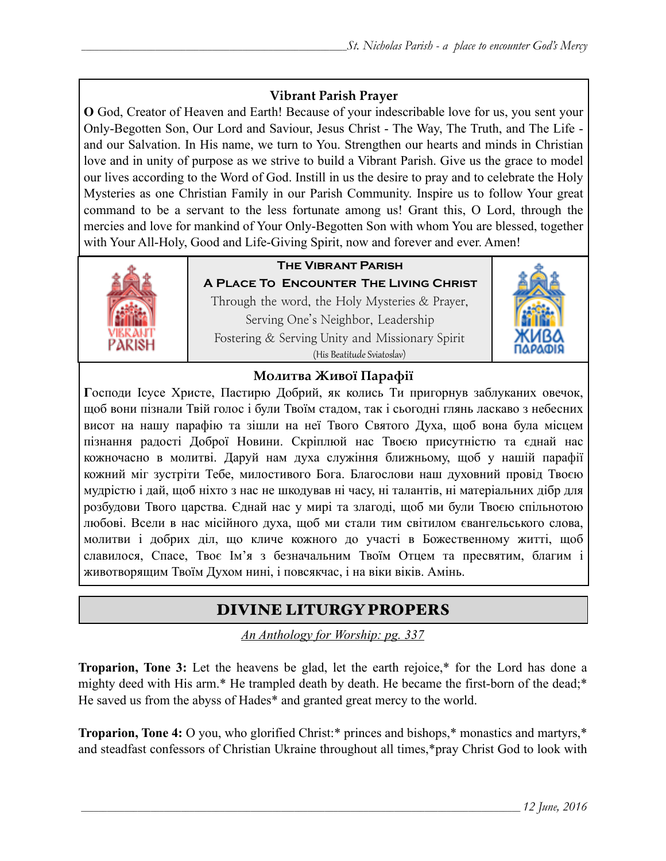# **Vibrant Parish Prayer**

**O** God, Creator of Heaven and Earth! Because of your indescribable love for us, you sent your Only-Begotten Son, Our Lord and Saviour, Jesus Christ - The Way, The Truth, and The Life and our Salvation. In His name, we turn to You. Strengthen our hearts and minds in Christian love and in unity of purpose as we strive to build a Vibrant Parish. Give us the grace to model our lives according to the Word of God. Instill in us the desire to pray and to celebrate the Holy Mysteries as one Christian Family in our Parish Community. Inspire us to follow Your great command to be a servant to the less fortunate among us! Grant this, O Lord, through the mercies and love for mankind of Your Only-Begotten Son with whom You are blessed, together with Your All-Holy, Good and Life-Giving Spirit, now and forever and ever. Amen!



# **The Vibrant Parish**

**A Place To Encounter The Living Christ** Through the word, the Holy Mysteries  $&$  Prayer, Serving One's Neighbor, Leadership Fostering & Serving Unity and Missionary Spirit (His Beatitude Sviatoslav)



# **Молитва Живої Парафії**

**Г**осподи Ісусе Христе, Пастирю Добрий, як колись Ти пригорнув заблуканих овечок, щоб вони пізнали Твій голос і були Твоїм стадом, так і сьогодні глянь ласкаво з небесних висот на нашу парафію та зішли на неї Твого Святого Духа, щоб вона була місцем пізнання радості Доброї Новини. Скріплюй нас Твоєю присутністю та єднай нас кожночасно в молитві. Даруй нам духа служіння ближньому, щоб у нашій парафії кожний міг зустріти Тебе, милостивого Бога. Благослови наш духовний провід Твоєю мудрістю і дай, щоб ніхто з нас не шкодував ні часу, ні талантів, ні матеріальних дібр для розбудови Твого царства. Єднай нас у мирі та злагоді, щоб ми були Твоєю спільнотою любові. Всели в нас місійного духа, щоб ми стали тим світилом євангельського слова, молитви і добрих діл, що кличе кожного до участі в Божественному житті, щоб славилося, Спасе, Твоє Ім'я з безначальним Твоїм Отцем та пресвятим, благим і животворящим Твоїм Духом нині, і повсякчас, і на віки віків. Амінь.

# DIVINE LITURGY PROPERS

*An Anthology for Worship: pg. 337* 

**Troparion, Tone 3:** Let the heavens be glad, let the earth rejoice,\* for the Lord has done a mighty deed with His arm.\* He trampled death by death. He became the first-born of the dead;\* He saved us from the abyss of Hades\* and granted great mercy to the world.

**Troparion, Tone 4:** O you, who glorified Christ:\* princes and bishops,\* monastics and martyrs,\* and steadfast confessors of Christian Ukraine throughout all times,\*pray Christ God to look with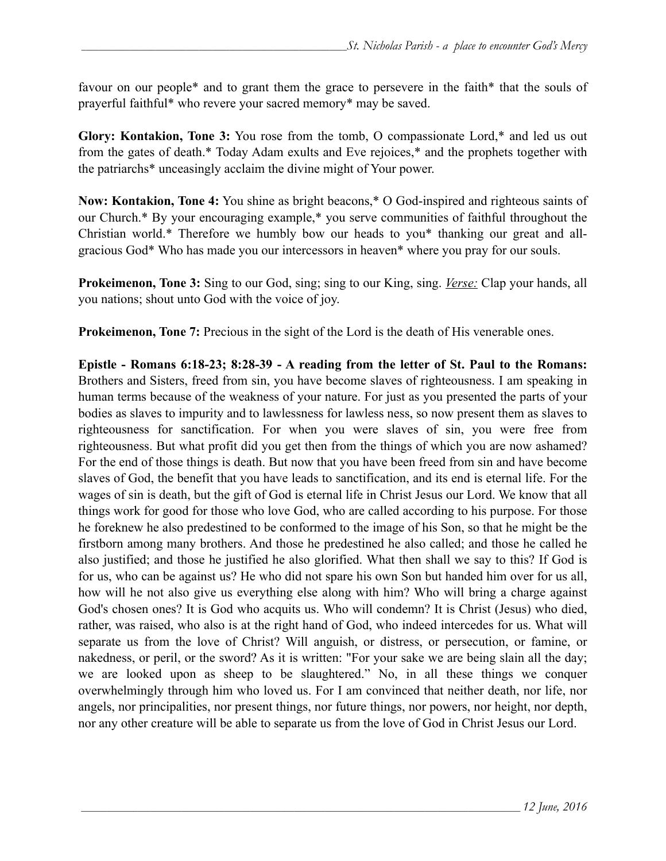favour on our people\* and to grant them the grace to persevere in the faith\* that the souls of prayerful faithful\* who revere your sacred memory\* may be saved.

**Glory: Kontakion, Tone 3:** You rose from the tomb, O compassionate Lord,\* and led us out from the gates of death.\* Today Adam exults and Eve rejoices,\* and the prophets together with the patriarchs\* unceasingly acclaim the divine might of Your power.

**Now: Kontakion, Tone 4:** You shine as bright beacons,\* O God-inspired and righteous saints of our Church.\* By your encouraging example,\* you serve communities of faithful throughout the Christian world.\* Therefore we humbly bow our heads to you\* thanking our great and allgracious God\* Who has made you our intercessors in heaven\* where you pray for our souls.

**Prokeimenon, Tone 3:** Sing to our God, sing; sing to our King, sing. *Verse:* Clap your hands, all you nations; shout unto God with the voice of joy.

**Prokeimenon, Tone 7:** Precious in the sight of the Lord is the death of His venerable ones.

**Epistle - Romans 6:18-23; 8:28-39 - A reading from the letter of St. Paul to the Romans:** Brothers and Sisters, freed from sin, you have become slaves of righteousness. I am speaking in human terms because of the weakness of your nature. For just as you presented the parts of your bodies as slaves to impurity and to lawlessness for lawless ness, so now present them as slaves to righteousness for sanctification. For when you were slaves of sin, you were free from righteousness. But what profit did you get then from the things of which you are now ashamed? For the end of those things is death. But now that you have been freed from sin and have become slaves of God, the benefit that you have leads to sanctification, and its end is eternal life. For the wages of sin is death, but the gift of God is eternal life in Christ Jesus our Lord. We know that all things work for good for those who love God, who are called according to his purpose. For those he foreknew he also predestined to be conformed to the image of his Son, so that he might be the firstborn among many brothers. And those he predestined he also called; and those he called he also justified; and those he justified he also glorified. What then shall we say to this? If God is for us, who can be against us? He who did not spare his own Son but handed him over for us all, how will he not also give us everything else along with him? Who will bring a charge against God's chosen ones? It is God who acquits us. Who will condemn? It is Christ (Jesus) who died, rather, was raised, who also is at the right hand of God, who indeed intercedes for us. What will separate us from the love of Christ? Will anguish, or distress, or persecution, or famine, or nakedness, or peril, or the sword? As it is written: "For your sake we are being slain all the day; we are looked upon as sheep to be slaughtered." No, in all these things we conquer overwhelmingly through him who loved us. For I am convinced that neither death, nor life, nor angels, nor principalities, nor present things, nor future things, nor powers, nor height, nor depth, nor any other creature will be able to separate us from the love of God in Christ Jesus our Lord.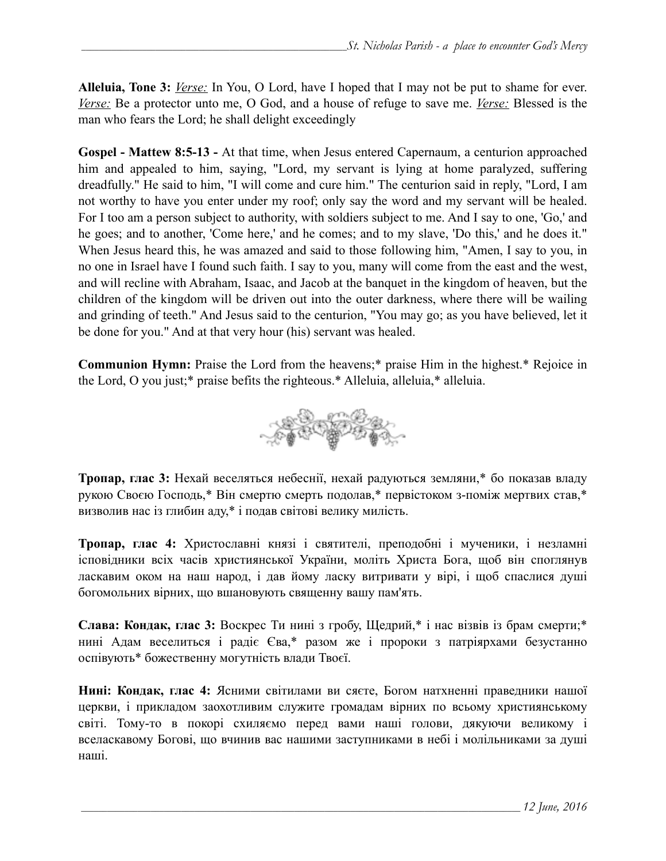**Alleluia, Tone 3:** *Verse:* In You, O Lord, have I hoped that I may not be put to shame for ever. *Verse:* Be a protector unto me, O God, and a house of refuge to save me. *Verse:* Blessed is the man who fears the Lord; he shall delight exceedingly

**Gospel - Mattew 8:5-13 -** At that time, when Jesus entered Capernaum, a centurion approached him and appealed to him, saying, "Lord, my servant is lying at home paralyzed, suffering dreadfully." He said to him, "I will come and cure him." The centurion said in reply, "Lord, I am not worthy to have you enter under my roof; only say the word and my servant will be healed. For I too am a person subject to authority, with soldiers subject to me. And I say to one, 'Go,' and he goes; and to another, 'Come here,' and he comes; and to my slave, 'Do this,' and he does it." When Jesus heard this, he was amazed and said to those following him, "Amen, I say to you, in no one in Israel have I found such faith. I say to you, many will come from the east and the west, and will recline with Abraham, Isaac, and Jacob at the banquet in the kingdom of heaven, but the children of the kingdom will be driven out into the outer darkness, where there will be wailing and grinding of teeth." And Jesus said to the centurion, "You may go; as you have believed, let it be done for you." And at that very hour (his) servant was healed.

**Communion Hymn:** Praise the Lord from the heavens;\* praise Him in the highest.\* Rejoice in the Lord, O you just;\* praise befits the righteous.\* Alleluia, alleluia,\* alleluia.



**Тропар, глас 3:** Нехай веселяться небеснії, нехай радуються земляни,\* бо показав владу рукою Своєю Господь,\* Він смертю смерть подолав,\* первістоком з-поміж мертвих став,\* визволив нас із глибин аду,\* і подав світові велику милість.

**Тропар, глас 4:** Христославні князі і святителі, преподобні і мученики, і незламні ісповідники всіх часів християнської України, моліть Христа Бога, щоб він споглянув ласкавим оком на наш народ, і дав йому ласку витривати у вірі, і щоб спаслися душі богомольних вірних, що вшановують священну вашу пам'ять.

**Слава: Кондак, глас 3:** Воскрес Ти нині з гробу, Щедрий,\* і нас візвів із брам смерти;\* нині Адам веселиться і радіє Єва,\* разом же і пророки з патріярхами безустанно оспівують\* божественну могутність влади Твоєї.

**Нині: Кондак, глас 4:** Ясними світилами ви сяєте, Богом натхненні праведники нашої церкви, і прикладом заохотливим служите громадам вірних по всьому християнському світі. Тому-то в покорі схиляємо перед вами наші голови, дякуючи великому і вселаскавому Богові, що вчинив вас нашими заступниками в небі і молільниками за душі наші.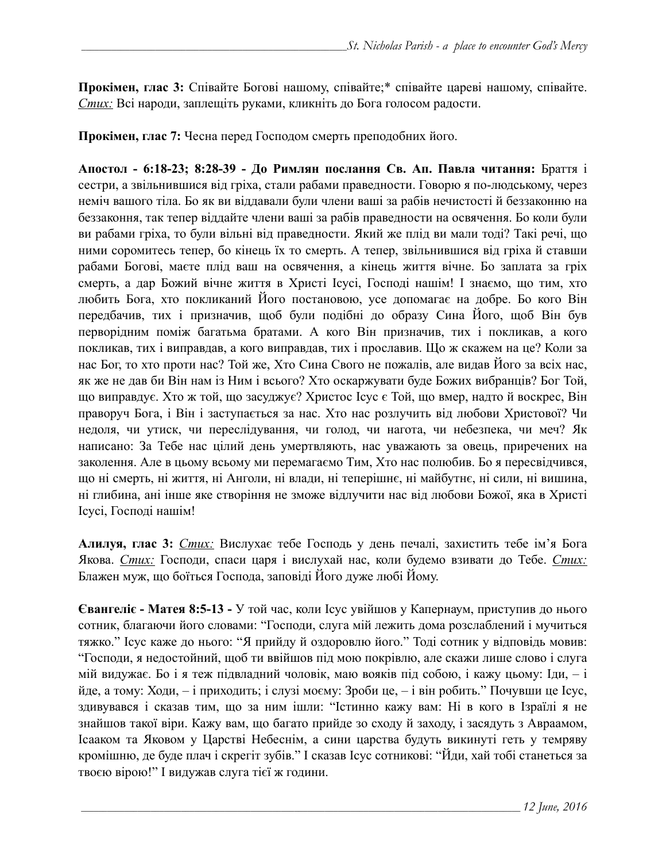**Прокімен, глас 3:** Співайте Богові нашому, співайте;\* співайте цареві нашому, співайте. *Стих:* Всі народи, заплещіть руками, кликніть до Бога голосом радости.

**Прокімен, глас 7:** Чесна перед Господом смерть преподобних його.

**Апостол - 6:18-23; 8:28-39 - До Римлян послання Св. Ап. Павла читання:** Браття і сестри, a звільнившися від гріха, стали рабами праведности. Говорю я по-людському, через неміч вашого тіла. Бо як ви віддавали були члени ваші за рабів нечистості й беззаконню на беззаконня, так тепер віддайте члени ваші за рабів праведности на освячення. Бо коли були ви рабами гріха, то були вільні від праведности. Який же плід ви мали тоді? Такі речі, що ними соромитесь тепер, бо кінець їх то смерть. А тепер, звільнившися від гріха й ставши рабами Богові, маєте плід ваш на освячення, а кінець життя вічне. Бо заплата за гріх смерть, а дар Божий вічне життя в Христі Ісусі, Господі нашім! І знаємо, що тим, хто любить Бога, хто покликаний Його постановою, усе допомагає на добре. Бо кого Він передбачив, тих і призначив, щоб були подібні до образу Сина Його, щоб Він був перворідним поміж багатьма братами. А кого Він призначив, тих і покликав, а кого покликав, тих і виправдав, а кого виправдав, тих і прославив. Що ж скажем на це? Коли за нас Бог, то хто проти нас? Той же, Хто Сина Свого не пожалів, але видав Його за всіх нас, як же не дав би Він нам із Ним і всього? Хто оскаржувати буде Божих вибранців? Бог Той, що виправдує. Хто ж той, що засуджує? Христос Ісус є Той, що вмер, надто й воскрес, Він праворуч Бога, і Він і заступається за нас. Хто нас розлучить від любови Христової? Чи недоля, чи утиск, чи переслідування, чи голод, чи нагота, чи небезпека, чи меч? Як написано: За Тебе нас цілий день умертвляють, нас уважають за овець, приречених на заколення. Але в цьому всьому ми перемагаємо Тим, Хто нас полюбив. Бо я пересвідчився, що ні смерть, ні життя, ні Анголи, ні влади, ні теперішнє, ні майбутнє, ні сили, ні вишина, ні глибина, ані інше яке створіння не зможе відлучити нас від любови Божої, яка в Христі Ісусі, Господі нашім!

**Алилуя, глас 3:** *Стих:* Вислухає тебе Господь у день печалі, захистить тебе ім'я Бога Якова. *Стих:* Господи, спаси царя і вислухай нас, коли будемо взивати до Тебе. *Стих:* Блажен муж, що боїться Господа, заповіді Його дуже любі Йому.

**Євангеліє - Матея 8:5-13 -** У той час, коли Ісус увійшов у Капернаум, приступив до нього сотник, благаючи його словами: "Господи, слуга мій лежить дома розслаблений і мучиться тяжко." Ісус каже до нього: "Я прийду й оздоровлю його." Тоді сотник у відповідь мовив: "Господи, я недостойний, щоб ти ввійшов під мою покрівлю, але скажи лише слово і слуга мій видужає. Бо і я теж підвладний чоловік, маю вояків під собою, і кажу цьому: Іди, – і йде, а тому: Ходи, – і приходить; і слузі моєму: Зроби це, – і він робить." Почувши це Ісус, здивувався і сказав тим, що за ним ішли: "Істинно кажу вам: Ні в кого в Ізраїлі я не знайшов такої віри. Кажу вам, що багато прийде зо сходу й заходу, і засядуть з Авраамом, Ісааком та Яковом у Царстві Небеснім, а сини царства будуть викинуті геть у темряву кромішню, де буде плач і скрегіт зубів." І сказав Ісус сотникові: "Йди, хай тобі станеться за твоєю вірою!" І видужав слуга тієї ж години.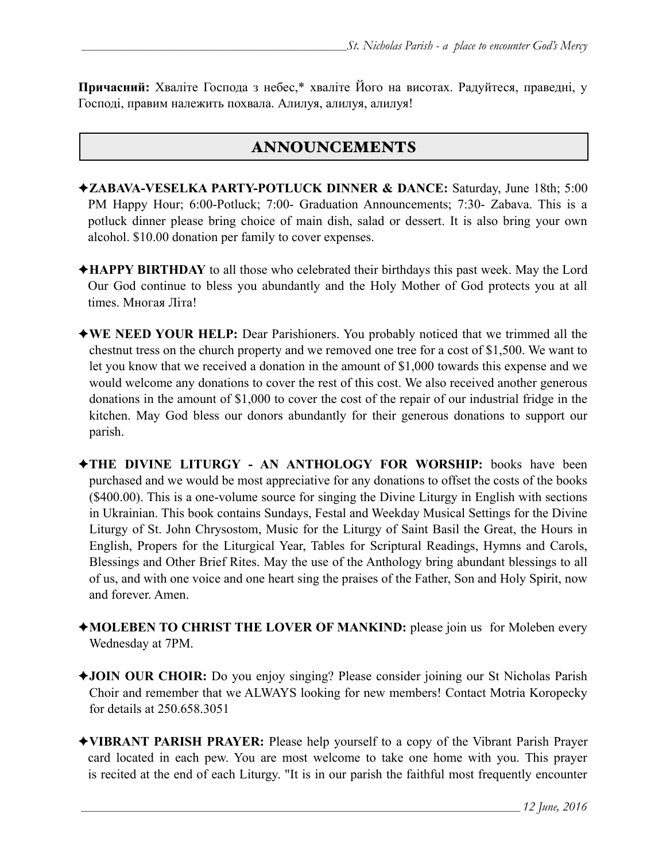**Причасний:** Хваліте Господа з небес,\* хваліте Його на висотах. Радуйтеся, праведні, у Господі, правим належить похвала. Алилуя, алилуя, алилуя!

# ANNOUNCEMENTS

- ✦**ZABAVA-VESELKA PARTY-POTLUCK DINNER & DANCE:** Saturday, June 18th; 5:00 PM Happy Hour; 6:00-Potluck; 7:00- Graduation Announcements; 7:30- Zabava. This is a potluck dinner please bring choice of main dish, salad or dessert. It is also bring your own alcohol. \$10.00 donation per family to cover expenses.
- ✦**HAPPY BIRTHDAY** to all those who celebrated their birthdays this past week. May the Lord Our God continue to bless you abundantly and the Holy Mother of God protects you at all times. Многая Літа!
- ✦**WE NEED YOUR HELP:** Dear Parishioners. You probably noticed that we trimmed all the chestnut tress on the church property and we removed one tree for a cost of \$1,500. We want to let you know that we received a donation in the amount of \$1,000 towards this expense and we would welcome any donations to cover the rest of this cost. We also received another generous donations in the amount of \$1,000 to cover the cost of the repair of our industrial fridge in the kitchen. May God bless our donors abundantly for their generous donations to support our parish.
- ✦**THE DIVINE LITURGY AN ANTHOLOGY FOR WORSHIP:** books have been purchased and we would be most appreciative for any donations to offset the costs of the books (\$400.00). This is a one-volume source for singing the Divine Liturgy in English with sections in Ukrainian. This book contains Sundays, Festal and Weekday Musical Settings for the Divine Liturgy of St. John Chrysostom, Music for the Liturgy of Saint Basil the Great, the Hours in English, Propers for the Liturgical Year, Tables for Scriptural Readings, Hymns and Carols, Blessings and Other Brief Rites. May the use of the Anthology bring abundant blessings to all of us, and with one voice and one heart sing the praises of the Father, Son and Holy Spirit, now and forever. Amen.
- ✦**MOLEBEN TO CHRIST THE LOVER OF MANKIND:** please join us for Moleben every Wednesday at 7PM.
- ✦**JOIN OUR CHOIR:** Do you enjoy singing? Please consider joining our St Nicholas Parish Choir and remember that we ALWAYS looking for new members! Contact Motria Koropecky for details at 250.658.3051
- ✦**VIBRANT PARISH PRAYER:** Please help yourself to a copy of the Vibrant Parish Prayer card located in each pew. You are most welcome to take one home with you. This prayer is recited at the end of each Liturgy. "It is in our parish the faithful most frequently encounter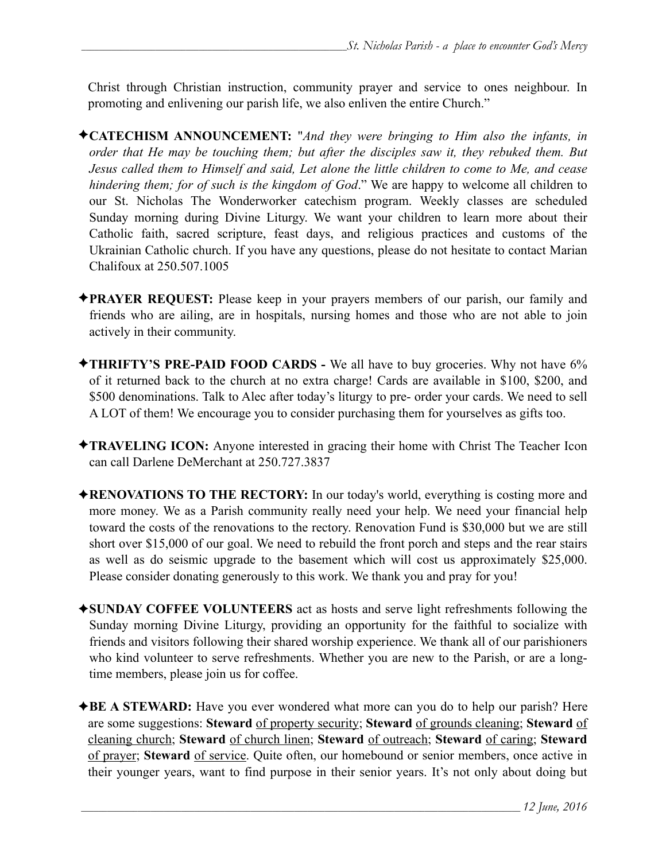Christ through Christian instruction, community prayer and service to ones neighbour. In promoting and enlivening our parish life, we also enliven the entire Church."

- ✦**CATECHISM ANNOUNCEMENT:** "*And they were bringing to Him also the infants, in order that He may be touching them; but after the disciples saw it, they rebuked them. But Jesus called them to Himself and said, Let alone the little children to come to Me, and cease hindering them; for of such is the kingdom of God*." We are happy to welcome all children to our St. Nicholas The Wonderworker catechism program. Weekly classes are scheduled Sunday morning during Divine Liturgy. We want your children to learn more about their Catholic faith, sacred scripture, feast days, and religious practices and customs of the Ukrainian Catholic church. If you have any questions, please do not hesitate to contact Marian Chalifoux at 250.507.1005
- ✦**PRAYER REQUEST:** Please keep in your prayers members of our parish, our family and friends who are ailing, are in hospitals, nursing homes and those who are not able to join actively in their community.
- ✦**THRIFTY'S PRE-PAID FOOD CARDS** We all have to buy groceries. Why not have 6% of it returned back to the church at no extra charge! Cards are available in \$100, \$200, and \$500 denominations. Talk to Alec after today's liturgy to pre- order your cards. We need to sell A LOT of them! We encourage you to consider purchasing them for yourselves as gifts too.
- ✦**TRAVELING ICON:** Anyone interested in gracing their home with Christ The Teacher Icon can call Darlene DeMerchant at 250.727.3837
- ✦**RENOVATIONS TO THE RECTORY:** In our today's world, everything is costing more and more money. We as a Parish community really need your help. We need your financial help toward the costs of the renovations to the rectory. Renovation Fund is \$30,000 but we are still short over \$15,000 of our goal. We need to rebuild the front porch and steps and the rear stairs as well as do seismic upgrade to the basement which will cost us approximately \$25,000. Please consider donating generously to this work. We thank you and pray for you!
- ✦**SUNDAY COFFEE VOLUNTEERS** act as hosts and serve light refreshments following the Sunday morning Divine Liturgy, providing an opportunity for the faithful to socialize with friends and visitors following their shared worship experience. We thank all of our parishioners who kind volunteer to serve refreshments. Whether you are new to the Parish, or are a longtime members, please join us for coffee.
- **★BE A STEWARD:** Have you ever wondered what more can you do to help our parish? Here are some suggestions: **Steward** of property security; **Steward** of grounds cleaning; **Steward** of cleaning church; **Steward** of church linen; **Steward** of outreach; **Steward** of caring; **Steward** of prayer; **Steward** of service. Quite often, our homebound or senior members, once active in their younger years, want to find purpose in their senior years. It's not only about doing but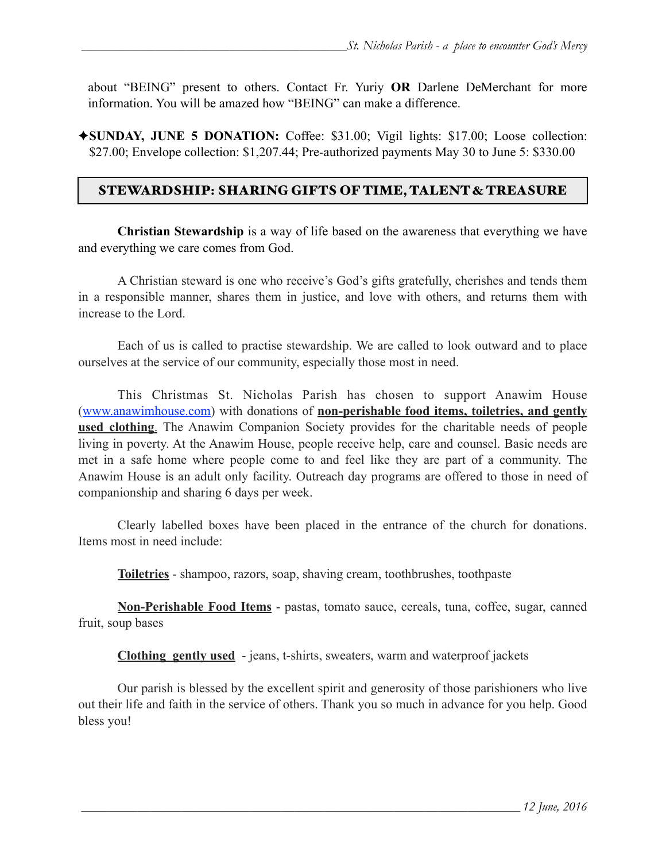about "BEING" present to others. Contact Fr. Yuriy **OR** Darlene DeMerchant for more information. You will be amazed how "BEING" can make a difference.

✦**SUNDAY, JUNE 5 DONATION:** Coffee: \$31.00; Vigil lights: \$17.00; Loose collection: \$27.00; Envelope collection: \$1,207.44; Pre-authorized payments May 30 to June 5: \$330.00

## STEWARDSHIP: SHARING GIFTS OF TIME, TALENT & TREASURE

**Christian Stewardship** is a way of life based on the awareness that everything we have and everything we care comes from God.

 A Christian steward is one who receive's God's gifts gratefully, cherishes and tends them in a responsible manner, shares them in justice, and love with others, and returns them with increase to the Lord.

 Each of us is called to practise stewardship. We are called to look outward and to place ourselves at the service of our community, especially those most in need.

 This Christmas St. Nicholas Parish has chosen to support Anawim House ([www.anawimhouse.com\)](http://www.anawimhouse.com) with donations of **non-perishable food items, toiletries, and gently used clothing**. The Anawim Companion Society provides for the charitable needs of people living in poverty. At the Anawim House, people receive help, care and counsel. Basic needs are met in a safe home where people come to and feel like they are part of a community. The Anawim House is an adult only facility. Outreach day programs are offered to those in need of companionship and sharing 6 days per week.

 Clearly labelled boxes have been placed in the entrance of the church for donations. Items most in need include:

**Toiletries** - shampoo, razors, soap, shaving cream, toothbrushes, toothpaste

**Non-Perishable Food Items** - pastas, tomato sauce, cereals, tuna, coffee, sugar, canned fruit, soup bases

**Clothing gently used** - jeans, t-shirts, sweaters, warm and waterproof jackets

 Our parish is blessed by the excellent spirit and generosity of those parishioners who live out their life and faith in the service of others. Thank you so much in advance for you help. Good bless you!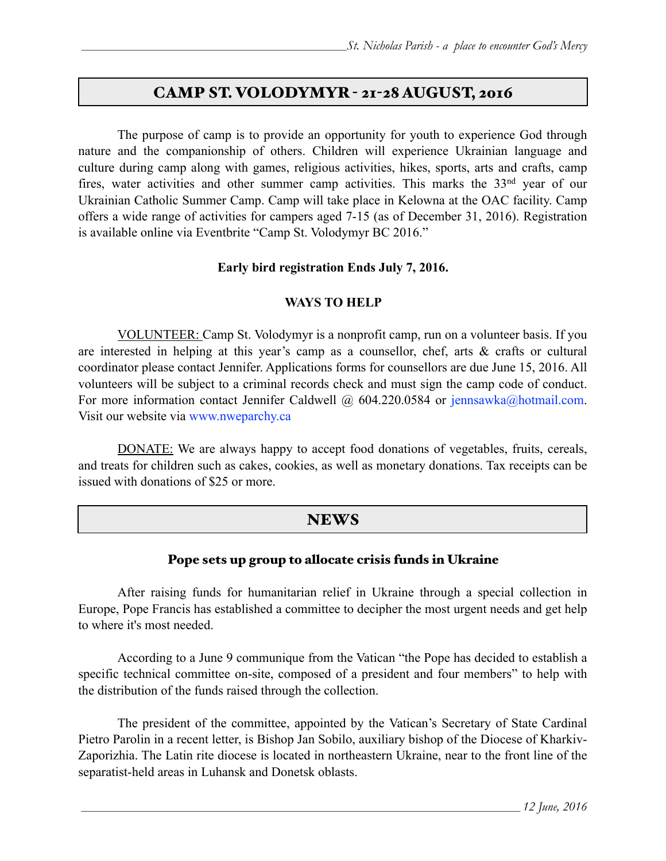# CAMP ST. VOLODYMYR - 21-28 AUGUST, 2016

 The purpose of camp is to provide an opportunity for youth to experience God through nature and the companionship of others. Children will experience Ukrainian language and culture during camp along with games, religious activities, hikes, sports, arts and crafts, camp fires, water activities and other summer camp activities. This marks the 33<sup>nd</sup> year of our Ukrainian Catholic Summer Camp. Camp will take place in Kelowna at the OAC facility. Camp offers a wide range of activities for campers aged 7-15 (as of December 31, 2016). Registration is available online via Eventbrite "Camp St. Volodymyr BC 2016."

## **Early bird registration Ends July 7, 2016.**

## **WAYS TO HELP**

VOLUNTEER: Camp St. Volodymyr is a nonprofit camp, run on a volunteer basis. If you are interested in helping at this year's camp as a counsellor, chef, arts & crafts or cultural coordinator please contact Jennifer. Applications forms for counsellors are due June 15, 2016. All volunteers will be subject to a criminal records check and must sign the camp code of conduct. For more information contact Jennifer Caldwell @ 604.220.0584 or jennsawka@hotmail.com. Visit our website via [www.nweparchy.ca](http://www.nweparchy.ca)

DONATE: We are always happy to accept food donations of vegetables, fruits, cereals, and treats for children such as cakes, cookies, as well as monetary donations. Tax receipts can be issued with donations of \$25 or more.

# **NEWS**

## Pope sets up group to allocate crisis funds in Ukraine

After raising funds for humanitarian relief in Ukraine through a special collection in Europe, Pope Francis has established a committee to decipher the most urgent needs and get help to where it's most needed.

According to a June 9 communique from the Vatican "the Pope has decided to establish a specific technical committee on-site, composed of a president and four members" to help with the distribution of the funds raised through the collection.

 The president of the committee, appointed by the Vatican's Secretary of State Cardinal Pietro Parolin in a recent letter, is Bishop Jan Sobilo, auxiliary bishop of the Diocese of Kharkiv-Zaporizhia. The Latin rite diocese is located in northeastern Ukraine, near to the front line of the separatist-held areas in Luhansk and Donetsk oblasts.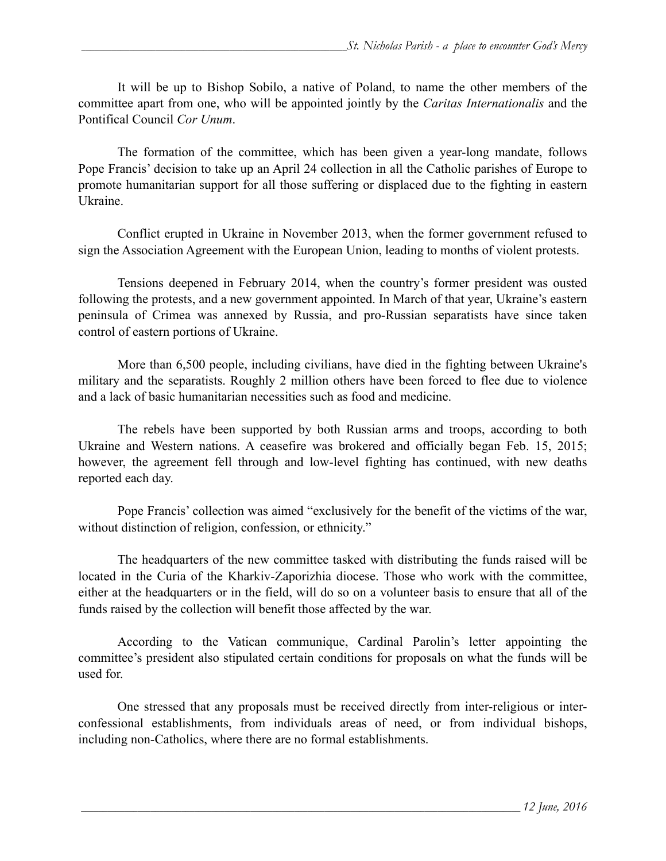It will be up to Bishop Sobilo, a native of Poland, to name the other members of the committee apart from one, who will be appointed jointly by the *Caritas Internationalis* and the Pontifical Council *Cor Unum*.

The formation of the committee, which has been given a year-long mandate, follows Pope Francis' decision to take up an April 24 collection in all the Catholic parishes of Europe to promote humanitarian support for all those suffering or displaced due to the fighting in eastern Ukraine.

Conflict erupted in Ukraine in November 2013, when the former government refused to sign the Association Agreement with the European Union, leading to months of violent protests.

Tensions deepened in February 2014, when the country's former president was ousted following the protests, and a new government appointed. In March of that year, Ukraine's eastern peninsula of Crimea was annexed by Russia, and pro-Russian separatists have since taken control of eastern portions of Ukraine.

More than 6,500 people, including civilians, have died in the fighting between Ukraine's military and the separatists. Roughly 2 million others have been forced to flee due to violence and a lack of basic humanitarian necessities such as food and medicine.

The rebels have been supported by both Russian arms and troops, according to both Ukraine and Western nations. A ceasefire was brokered and officially began Feb. 15, 2015; however, the agreement fell through and low-level fighting has continued, with new deaths reported each day.

Pope Francis' collection was aimed "exclusively for the benefit of the victims of the war, without distinction of religion, confession, or ethnicity."

The headquarters of the new committee tasked with distributing the funds raised will be located in the Curia of the Kharkiv-Zaporizhia diocese. Those who work with the committee, either at the headquarters or in the field, will do so on a volunteer basis to ensure that all of the funds raised by the collection will benefit those affected by the war.

 According to the Vatican communique, Cardinal Parolin's letter appointing the committee's president also stipulated certain conditions for proposals on what the funds will be used for.

 One stressed that any proposals must be received directly from inter-religious or interconfessional establishments, from individuals areas of need, or from individual bishops, including non-Catholics, where there are no formal establishments.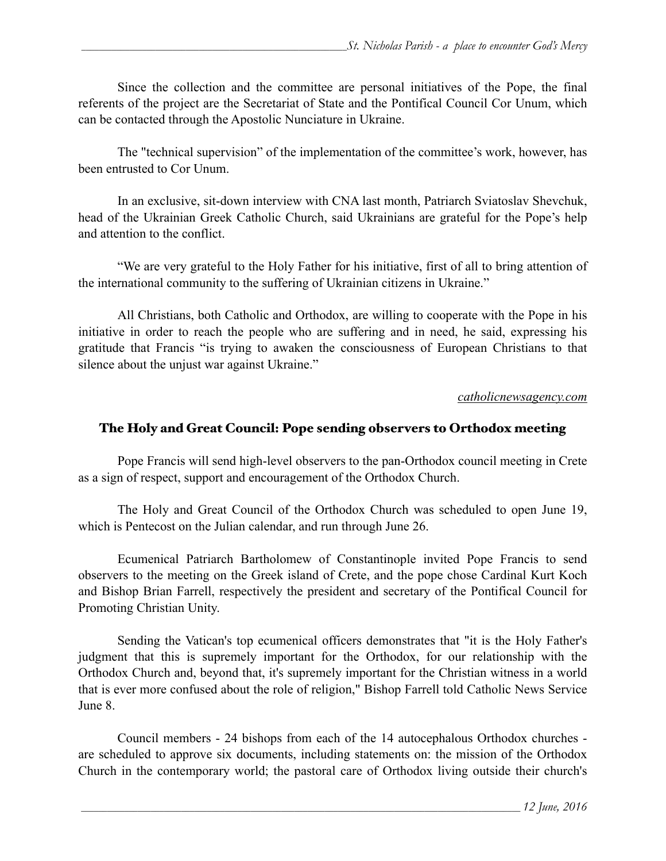Since the collection and the committee are personal initiatives of the Pope, the final referents of the project are the Secretariat of State and the Pontifical Council Cor Unum, which can be contacted through the Apostolic Nunciature in Ukraine.

 The "technical supervision" of the implementation of the committee's work, however, has been entrusted to Cor Unum.

 In an exclusive, sit-down interview with CNA last month, Patriarch Sviatoslav Shevchuk, head of the Ukrainian Greek Catholic Church, said Ukrainians are grateful for the Pope's help and attention to the conflict.

"We are very grateful to the Holy Father for his initiative, first of all to bring attention of the international community to the suffering of Ukrainian citizens in Ukraine."

 All Christians, both Catholic and Orthodox, are willing to cooperate with the Pope in his initiative in order to reach the people who are suffering and in need, he said, expressing his gratitude that Francis "is trying to awaken the consciousness of European Christians to that silence about the unjust war against Ukraine."

### *catholicnewsagency.com*

## The Holy and Great Council: Pope sending observers to Orthodox meeting

Pope Francis will send high-level observers to the pan-Orthodox council meeting in Crete as a sign of respect, support and encouragement of the Orthodox Church.

The Holy and Great Council of the Orthodox Church was scheduled to open June 19, which is Pentecost on the Julian calendar, and run through June 26.

Ecumenical Patriarch Bartholomew of Constantinople invited Pope Francis to send observers to the meeting on the Greek island of Crete, and the pope chose Cardinal Kurt Koch and Bishop Brian Farrell, respectively the president and secretary of the Pontifical Council for Promoting Christian Unity.

Sending the Vatican's top ecumenical officers demonstrates that "it is the Holy Father's judgment that this is supremely important for the Orthodox, for our relationship with the Orthodox Church and, beyond that, it's supremely important for the Christian witness in a world that is ever more confused about the role of religion," Bishop Farrell told Catholic News Service June 8.

Council members - 24 bishops from each of the 14 autocephalous Orthodox churches are scheduled to approve six documents, including statements on: the mission of the Orthodox Church in the contemporary world; the pastoral care of Orthodox living outside their church's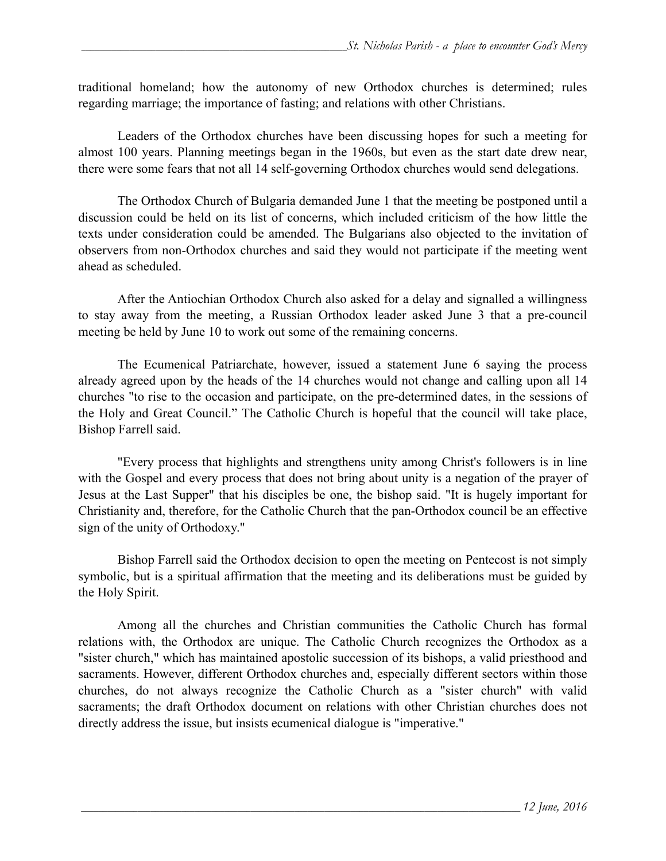traditional homeland; how the autonomy of new Orthodox churches is determined; rules regarding marriage; the importance of fasting; and relations with other Christians.

Leaders of the Orthodox churches have been discussing hopes for such a meeting for almost 100 years. Planning meetings began in the 1960s, but even as the start date drew near, there were some fears that not all 14 self-governing Orthodox churches would send delegations.

The Orthodox Church of Bulgaria demanded June 1 that the meeting be postponed until a discussion could be held on its list of concerns, which included criticism of the how little the texts under consideration could be amended. The Bulgarians also objected to the invitation of observers from non-Orthodox churches and said they would not participate if the meeting went ahead as scheduled.

 After the Antiochian Orthodox Church also asked for a delay and signalled a willingness to stay away from the meeting, a Russian Orthodox leader asked June 3 that a pre-council meeting be held by June 10 to work out some of the remaining concerns.

 The Ecumenical Patriarchate, however, issued a statement June 6 saying the process already agreed upon by the heads of the 14 churches would not change and calling upon all 14 churches "to rise to the occasion and participate, on the pre-determined dates, in the sessions of the Holy and Great Council." The Catholic Church is hopeful that the council will take place, Bishop Farrell said.

"Every process that highlights and strengthens unity among Christ's followers is in line with the Gospel and every process that does not bring about unity is a negation of the prayer of Jesus at the Last Supper" that his disciples be one, the bishop said. "It is hugely important for Christianity and, therefore, for the Catholic Church that the pan-Orthodox council be an effective sign of the unity of Orthodoxy."

Bishop Farrell said the Orthodox decision to open the meeting on Pentecost is not simply symbolic, but is a spiritual affirmation that the meeting and its deliberations must be guided by the Holy Spirit.

Among all the churches and Christian communities the Catholic Church has formal relations with, the Orthodox are unique. The Catholic Church recognizes the Orthodox as a "sister church," which has maintained apostolic succession of its bishops, a valid priesthood and sacraments. However, different Orthodox churches and, especially different sectors within those churches, do not always recognize the Catholic Church as a "sister church" with valid sacraments; the draft Orthodox document on relations with other Christian churches does not directly address the issue, but insists ecumenical dialogue is "imperative."